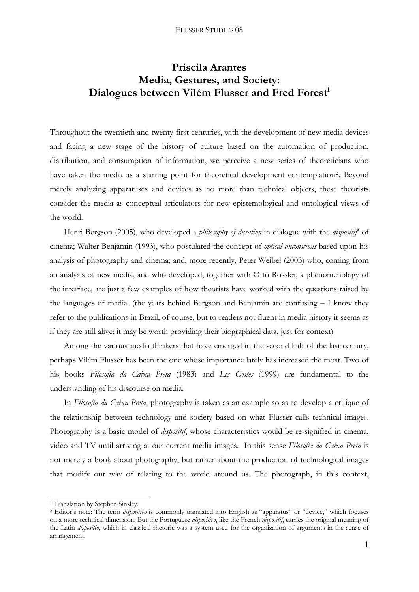## **Priscila Arantes Media, Gestures, and Society:**  Dialogues between Vilém Flusser and Fred Forest<sup>1</sup>

Throughout the twentieth and twenty-first centuries, with the development of new media devices and facing a new stage of the history of culture based on the automation of production, distribution, and consumption of information, we perceive a new series of theoreticians who have taken the media as a starting point for theoretical development contemplation?. Beyond merely analyzing apparatuses and devices as no more than technical objects, these theorists consider the media as conceptual articulators for new epistemological and ontological views of the world.

Henri Bergson (2005), who developed a *philosophy of duration* in dialogue with the *dispositif* of cinema; Walter Benjamin (1993), who postulated the concept of *optical unconscious* based upon his analysis of photography and cinema; and, more recently, Peter Weibel (2003) who, coming from an analysis of new media, and who developed, together with Otto Rossler, a phenomenology of the interface, are just a few examples of how theorists have worked with the questions raised by the languages of media. (the years behind Bergson and Benjamin are confusing – I know they refer to the publications in Brazil, of course, but to readers not fluent in media history it seems as if they are still alive; it may be worth providing their biographical data, just for context)

 Among the various media thinkers that have emerged in the second half of the last century, perhaps Vilém Flusser has been the one whose importance lately has increased the most. Two of his books *Filosofia da Caixa Preta* (1983) and *Les Gestes* (1999) are fundamental to the understanding of his discourse on media.

 In *Filosofia da Caixa Preta,* photography is taken as an example so as to develop a critique of the relationship between technology and society based on what Flusser calls technical images. Photography is a basic model of *dispositif*, whose characteristics would be re-signified in cinema, video and TV until arriving at our current media images. In this sense *Filosofia da Caixa Preta* is not merely a book about photography, but rather about the production of technological images that modify our way of relating to the world around us. The photograph, in this context,

<sup>&</sup>lt;sup>1</sup> Translation by Stephen Sinsley.

<sup>2</sup> Editor's note: The term *dispositivo* is commonly translated into English as "apparatus" or "device," which focuses on a more technical dimension. But the Portuguese *dispositivo*, like the French *dispositif*, carries the original meaning of the Latin *dispositio*, which in classical rhetoric was a system used for the organization of arguments in the sense of arrangement.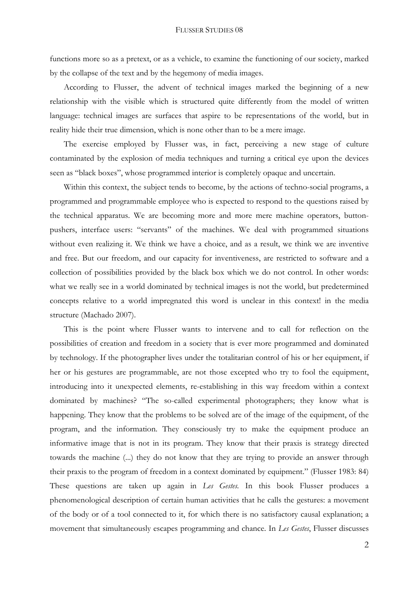functions more so as a pretext, or as a vehicle, to examine the functioning of our society, marked by the collapse of the text and by the hegemony of media images.

According to Flusser, the advent of technical images marked the beginning of a new relationship with the visible which is structured quite differently from the model of written language: technical images are surfaces that aspire to be representations of the world, but in reality hide their true dimension, which is none other than to be a mere image.

The exercise employed by Flusser was, in fact, perceiving a new stage of culture contaminated by the explosion of media techniques and turning a critical eye upon the devices seen as "black boxes", whose programmed interior is completely opaque and uncertain.

Within this context, the subject tends to become, by the actions of techno-social programs, a programmed and programmable employee who is expected to respond to the questions raised by the technical apparatus. We are becoming more and more mere machine operators, buttonpushers, interface users: "servants" of the machines. We deal with programmed situations without even realizing it. We think we have a choice, and as a result, we think we are inventive and free. But our freedom, and our capacity for inventiveness, are restricted to software and a collection of possibilities provided by the black box which we do not control. In other words: what we really see in a world dominated by technical images is not the world, but predetermined concepts relative to a world impregnated this word is unclear in this context! in the media structure (Machado 2007).

This is the point where Flusser wants to intervene and to call for reflection on the possibilities of creation and freedom in a society that is ever more programmed and dominated by technology. If the photographer lives under the totalitarian control of his or her equipment, if her or his gestures are programmable, are not those excepted who try to fool the equipment, introducing into it unexpected elements, re-establishing in this way freedom within a context dominated by machines? "The so-called experimental photographers; they know what is happening. They know that the problems to be solved are of the image of the equipment, of the program, and the information. They consciously try to make the equipment produce an informative image that is not in its program. They know that their praxis is strategy directed towards the machine (...) they do not know that they are trying to provide an answer through their praxis to the program of freedom in a context dominated by equipment." (Flusser 1983: 84) These questions are taken up again in *Les Gestes.* In this book Flusser produces a phenomenological description of certain human activities that he calls the gestures: a movement of the body or of a tool connected to it, for which there is no satisfactory causal explanation; a movement that simultaneously escapes programming and chance. In *Les Gestes*, Flusser discusses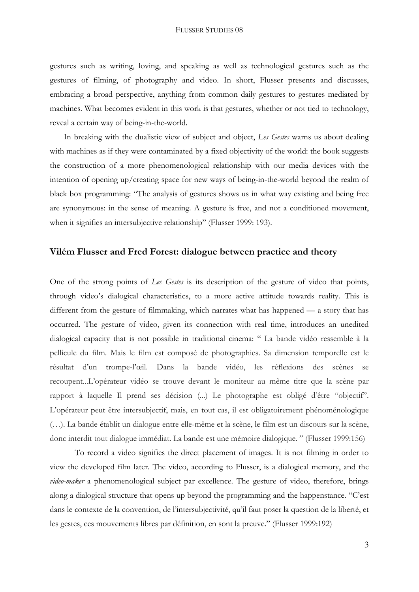gestures such as writing, loving, and speaking as well as technological gestures such as the gestures of filming, of photography and video. In short, Flusser presents and discusses, embracing a broad perspective, anything from common daily gestures to gestures mediated by machines. What becomes evident in this work is that gestures, whether or not tied to technology, reveal a certain way of being-in-the-world.

In breaking with the dualistic view of subject and object, *Les Gestes* warns us about dealing with machines as if they were contaminated by a fixed objectivity of the world: the book suggests the construction of a more phenomenological relationship with our media devices with the intention of opening up/creating space for new ways of being-in-the-world beyond the realm of black box programming: "The analysis of gestures shows us in what way existing and being free are synonymous: in the sense of meaning. A gesture is free, and not a conditioned movement, when it signifies an intersubjective relationship" (Flusser 1999: 193).

## **Vilém Flusser and Fred Forest: dialogue between practice and theory**

One of the strong points of *Les Gestes* is its description of the gesture of video that points, through video's dialogical characteristics, to a more active attitude towards reality. This is different from the gesture of filmmaking, which narrates what has happened — a story that has occurred. The gesture of video, given its connection with real time, introduces an unedited dialogical capacity that is not possible in traditional cinema: " La bande vidéo ressemble à la pellicule du film. Mais le film est composé de photographies. Sa dimension temporelle est le résultat d'un trompe-l'œil. Dans la bande vidéo, les réflexions des scènes se recoupent...L'opérateur vidéo se trouve devant le moniteur au même titre que la scène par rapport à laquelle Il prend ses décision (...) Le photographe est obligé d'être "objectif". L'opérateur peut être intersubjectif, mais, en tout cas, il est obligatoirement phénoménologique (…). La bande établit un dialogue entre elle-même et la scène, le film est un discours sur la scène, donc interdit tout dialogue immédiat. La bande est une mémoire dialogique. " (Flusser 1999:156)

 To record a video signifies the direct placement of images. It is not filming in order to view the developed film later. The video, according to Flusser, is a dialogical memory, and the *video-maker* a phenomenological subject par excellence. The gesture of video, therefore, brings along a dialogical structure that opens up beyond the programming and the happenstance. "C'est dans le contexte de la convention, de l'intersubjectivité, qu'il faut poser la question de la liberté, et les gestes, ces mouvements libres par définition, en sont la preuve." (Flusser 1999:192)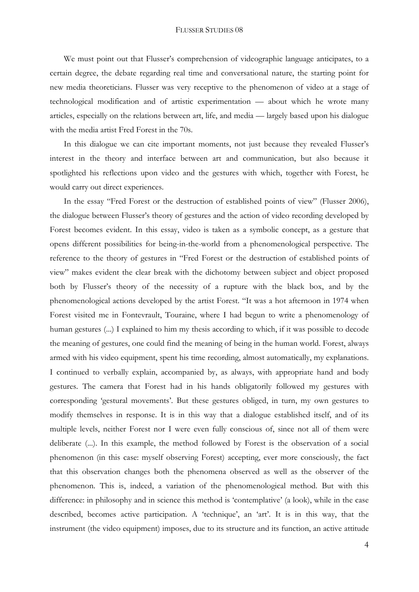We must point out that Flusser's comprehension of videographic language anticipates, to a certain degree, the debate regarding real time and conversational nature, the starting point for new media theoreticians. Flusser was very receptive to the phenomenon of video at a stage of technological modification and of artistic experimentation — about which he wrote many articles, especially on the relations between art, life, and media — largely based upon his dialogue with the media artist Fred Forest in the 70s.

 In this dialogue we can cite important moments, not just because they revealed Flusser's interest in the theory and interface between art and communication, but also because it spotlighted his reflections upon video and the gestures with which, together with Forest, he would carry out direct experiences.

In the essay "Fred Forest or the destruction of established points of view" (Flusser 2006), the dialogue between Flusser's theory of gestures and the action of video recording developed by Forest becomes evident. In this essay, video is taken as a symbolic concept, as a gesture that opens different possibilities for being-in-the-world from a phenomenological perspective. The reference to the theory of gestures in "Fred Forest or the destruction of established points of view" makes evident the clear break with the dichotomy between subject and object proposed both by Flusser's theory of the necessity of a rupture with the black box, and by the phenomenological actions developed by the artist Forest. "It was a hot afternoon in 1974 when Forest visited me in Fontevrault, Touraine, where I had begun to write a phenomenology of human gestures (...) I explained to him my thesis according to which, if it was possible to decode the meaning of gestures, one could find the meaning of being in the human world. Forest, always armed with his video equipment, spent his time recording, almost automatically, my explanations. I continued to verbally explain, accompanied by, as always, with appropriate hand and body gestures. The camera that Forest had in his hands obligatorily followed my gestures with corresponding 'gestural movements'. But these gestures obliged, in turn, my own gestures to modify themselves in response. It is in this way that a dialogue established itself, and of its multiple levels, neither Forest nor I were even fully conscious of, since not all of them were deliberate (...). In this example, the method followed by Forest is the observation of a social phenomenon (in this case: myself observing Forest) accepting, ever more consciously, the fact that this observation changes both the phenomena observed as well as the observer of the phenomenon. This is, indeed, a variation of the phenomenological method. But with this difference: in philosophy and in science this method is 'contemplative' (a look), while in the case described, becomes active participation. A 'technique', an 'art'. It is in this way, that the instrument (the video equipment) imposes, due to its structure and its function, an active attitude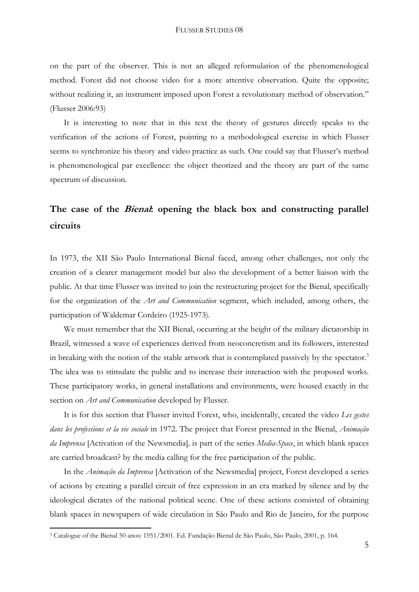on the part of the observer. This is not an alleged reformulation of the phenomenological method. Forest did not choose video for a more attentive observation. Quite the opposite; without realizing it, an instrument imposed upon Forest a revolutionary method of observation." (Flusser 2006:93)

 It is interesting to note that in this text the theory of gestures directly speaks to the verification of the actions of Forest, pointing to a methodological exercise in which Flusser seems to synchronize his theory and video practice as such. One could say that Flusser's method is phenomenological par excellence: the object theorized and the theory are part of the same spectrum of discussion.

# **The case of the Bienal: opening the black box and constructing parallel circuits**

In 1973, the XII São Paulo International Bienal faced, among other challenges, not only the creation of a clearer management model but also the development of a better liaison with the public. At that time Flusser was invited to join the restructuring project for the Bienal, specifically for the organization of the *Art and Communication* segment, which included, among others, the participation of Waldemar Cordeiro (1925-1973).

 We must remember that the XII Bienal, occurring at the height of the military dictatorship in Brazil, witnessed a wave of experiences derived from neoconcretism and its followers, interested in breaking with the notion of the stable artwork that is contemplated passively by the spectator.<sup>3</sup> The idea was to stimulate the public and to increase their interaction with the proposed works. These participatory works, in general installations and environments, were housed exactly in the section on *Art and Communication* developed by Flusser.

 It is for this section that Flusser invited Forest, who, incidentally, created the video *Les gestes dans les professions et la vie sociale* in 1972. The project that Forest presented in the Bienal, *Animação da Imprensa* [Activation of the Newsmedia]*,* is part of the series *Media-Space*, in which blank spaces are carried broadcast? by the media calling for the free participation of the public.

 In the *Animação da Imprensa* [Activation of the Newsmedia] project, Forest developed a series of actions by creating a parallel circuit of free expression in an era marked by silence and by the ideological dictates of the national political scene. One of these actions consisted of obtaining blank spaces in newspapers of wide circulation in São Paulo and Rio de Janeiro, for the purpose

<sup>3</sup> Catalogue of the Bienal 50 anos: 1951/2001. Ed. Fundação Bienal de São Paulo, São Paulo, 2001, p. 164.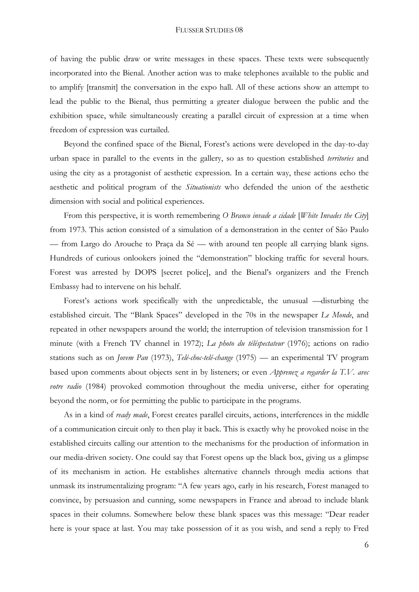of having the public draw or write messages in these spaces. These texts were subsequently incorporated into the Bienal. Another action was to make telephones available to the public and to amplify [transmit] the conversation in the expo hall. All of these actions show an attempt to lead the public to the Bienal, thus permitting a greater dialogue between the public and the exhibition space, while simultaneously creating a parallel circuit of expression at a time when freedom of expression was curtailed.

Beyond the confined space of the Bienal, Forest's actions were developed in the day-to-day urban space in parallel to the events in the gallery, so as to question established *territories* and using the city as a protagonist of aesthetic expression. In a certain way, these actions echo the aesthetic and political program of the *Situationists* who defended the union of the aesthetic dimension with social and political experiences.

From this perspective, it is worth remembering *O Branco invade a cidade* [*White Invades the City*] from 1973. This action consisted of a simulation of a demonstration in the center of São Paulo — from Largo do Arouche to Praça da Sé — with around ten people all carrying blank signs. Hundreds of curious onlookers joined the "demonstration" blocking traffic for several hours. Forest was arrested by DOPS [secret police], and the Bienal's organizers and the French Embassy had to intervene on his behalf.

Forest's actions work specifically with the unpredictable, the unusual —disturbing the established circuit. The "Blank Spaces" developed in the 70s in the newspaper *Le Monde*, and repeated in other newspapers around the world; the interruption of television transmission for 1 minute (with a French TV channel in 1972); *La photo du téléspectateur* (1976); actions on radio stations such as on *Jovem Pan* (1973), *Telé-choc-telé-change* (1975) — an experimental TV program based upon comments about objects sent in by listeners; or even *Apprenez a regarder la T.V. avec votre radio* (1984) provoked commotion throughout the media universe, either for operating beyond the norm, or for permitting the public to participate in the programs.

As in a kind of *ready made*, Forest creates parallel circuits, actions, interferences in the middle of a communication circuit only to then play it back. This is exactly why he provoked noise in the established circuits calling our attention to the mechanisms for the production of information in our media-driven society. One could say that Forest opens up the black box, giving us a glimpse of its mechanism in action. He establishes alternative channels through media actions that unmask its instrumentalizing program: "A few years ago, early in his research, Forest managed to convince, by persuasion and cunning, some newspapers in France and abroad to include blank spaces in their columns. Somewhere below these blank spaces was this message: "Dear reader here is your space at last. You may take possession of it as you wish, and send a reply to Fred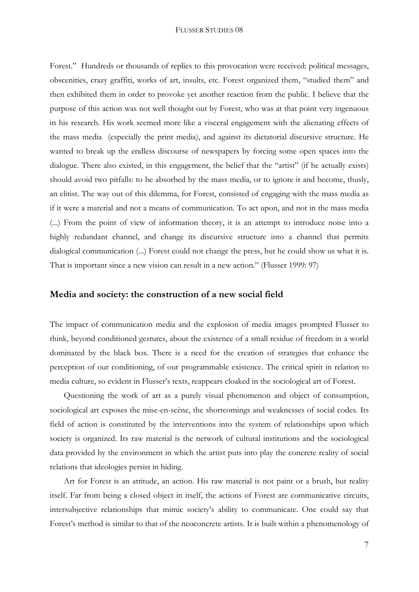Forest." Hundreds or thousands of replies to this provocation were received: political messages, obscenities, crazy graffiti, works of art, insults, etc. Forest organized them, "studied them" and then exhibited them in order to provoke yet another reaction from the public. I believe that the purpose of this action was not well thought out by Forest, who was at that point very ingenuous in his research. His work seemed more like a visceral engagement with the alienating effects of the mass media (especially the print media), and against its dictatorial discursive structure. He wanted to break up the endless discourse of newspapers by forcing some open spaces into the dialogue. There also existed, in this engagement, the belief that the "artist" (if he actually exists) should avoid two pitfalls: to be absorbed by the mass media, or to ignore it and become, thusly, an elitist. The way out of this dilemma, for Forest, consisted of engaging with the mass media as if it were a material and not a means of communication. To act upon, and not in the mass media (...) From the point of view of information theory, it is an attempt to introduce noise into a highly redundant channel, and change its discursive structure into a channel that permits dialogical communication (...) Forest could not change the press, but he could show us what it is. That is important since a new vision can result in a new action." (Flusser 1999: 97)

### **Media and society: the construction of a new social field**

The impact of communication media and the explosion of media images prompted Flusser to think, beyond conditioned gestures, about the existence of a small residue of freedom in a world dominated by the black box. There is a need for the creation of strategies that enhance the perception of our conditioning, of our programmable existence. The critical spirit in relation to media culture, so evident in Flusser's texts, reappears cloaked in the sociological art of Forest.

Questioning the work of art as a purely visual phenomenon and object of consumption, sociological art exposes the mise-en-scène, the shortcomings and weaknesses of social codes. Its field of action is constituted by the interventions into the system of relationships upon which society is organized. Its raw material is the network of cultural institutions and the sociological data provided by the environment in which the artist puts into play the concrete reality of social relations that ideologies persist in hiding.

Art for Forest is an attitude, an action. His raw material is not paint or a brush, but reality itself. Far from being a closed object in itself, the actions of Forest are communicative circuits, intersubjective relationships that mimic society's ability to communicate. One could say that Forest's method is similar to that of the neoconcrete artists. It is built within a phenomenology of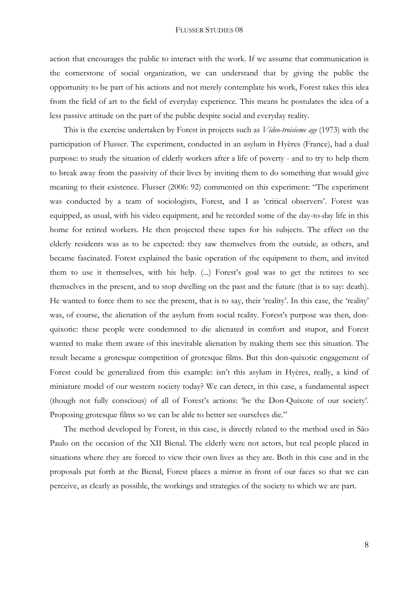action that encourages the public to interact with the work. If we assume that communication is the cornerstone of social organization, we can understand that by giving the public the opportunity to be part of his actions and not merely contemplate his work, Forest takes this idea from the field of art to the field of everyday experience. This means he postulates the idea of a less passive attitude on the part of the public despite social and everyday reality.

This is the exercise undertaken by Forest in projects such as *Video-troisieme age* (1973) with the participation of Flusser. The experiment, conducted in an asylum in Hyères (France), had a dual purpose: to study the situation of elderly workers after a life of poverty - and to try to help them to break away from the passivity of their lives by inviting them to do something that would give meaning to their existence. Flusser (2006: 92) commented on this experiment: "The experiment was conducted by a team of sociologists, Forest, and I as 'critical observers'. Forest was equipped, as usual, with his video equipment, and he recorded some of the day-to-day life in this home for retired workers. He then projected these tapes for his subjects. The effect on the elderly residents was as to be expected: they saw themselves from the outside, as others, and became fascinated. Forest explained the basic operation of the equipment to them, and invited them to use it themselves, with his help. (...) Forest's goal was to get the retirees to see themselves in the present, and to stop dwelling on the past and the future (that is to say: death). He wanted to force them to see the present, that is to say, their 'reality'. In this case, the 'reality' was, of course, the alienation of the asylum from social reality. Forest's purpose was then, donquixotic: these people were condemned to die alienated in comfort and stupor, and Forest wanted to make them aware of this inevitable alienation by making them see this situation. The result became a grotesque competition of grotesque films. But this don-quixotic engagement of Forest could be generalized from this example: isn't this asylum in Hyères, really, a kind of miniature model of our western society today? We can detect, in this case, a fundamental aspect (though not fully conscious) of all of Forest's actions: 'be the Don-Quixote of our society'. Proposing grotesque films so we can be able to better see ourselves die."

The method developed by Forest, in this case, is directly related to the method used in São Paulo on the occasion of the XII Bienal. The elderly were not actors, but real people placed in situations where they are forced to view their own lives as they are. Both in this case and in the proposals put forth at the Bienal, Forest places a mirror in front of our faces so that we can perceive, as clearly as possible, the workings and strategies of the society to which we are part.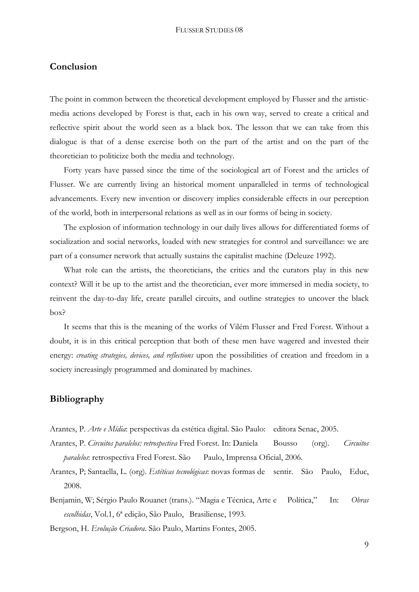## **Conclusion**

The point in common between the theoretical development employed by Flusser and the artisticmedia actions developed by Forest is that, each in his own way, served to create a critical and reflective spirit about the world seen as a black box. The lesson that we can take from this dialogue is that of a dense exercise both on the part of the artist and on the part of the theoretician to politicize both the media and technology.

 Forty years have passed since the time of the sociological art of Forest and the articles of Flusser. We are currently living an historical moment unparalleled in terms of technological advancements. Every new invention or discovery implies considerable effects in our perception of the world, both in interpersonal relations as well as in our forms of being in society.

 The explosion of information technology in our daily lives allows for differentiated forms of socialization and social networks, loaded with new strategies for control and surveillance: we are part of a consumer network that actually sustains the capitalist machine (Deleuze 1992).

What role can the artists, the theoreticians, the critics and the curators play in this new context? Will it be up to the artist and the theoretician, ever more immersed in media society, to reinvent the day-to-day life, create parallel circuits, and outline strategies to uncover the black box?

It seems that this is the meaning of the works of Vilém Flusser and Fred Forest. Without a doubt, it is in this critical perception that both of these men have wagered and invested their energy: *creating strategies, devices, and reflections* upon the possibilities of creation and freedom in a society increasingly programmed and dominated by machines.

## **Bibliography**

- Arantes, P. *Arte e Mídia*: perspectivas da estética digital. São Paulo: editora Senac, 2005.
- Arantes, P. *Circuitos paralelos: retrospectiva* Fred Forest. In: Daniela Bousso (org). *Circuitos paralelos*: retrospectiva Fred Forest. São Paulo, Imprensa Oficial, 2006.
- Arantes, P; Santaella, L. (org). *Estéticas tecnológicas*: novas formas de sentir. São Paulo, Educ, 2008.
- Benjamin, W; Sérgio Paulo Rouanet (trans.). "Magia e Técnica, Arte e Política," In: *Obras escolhidas*, Vol.1, 6ª edição, São Paulo, Brasiliense, 1993.
- Bergson, H. *Evolução Criadora*. São Paulo, Martins Fontes, 2005.